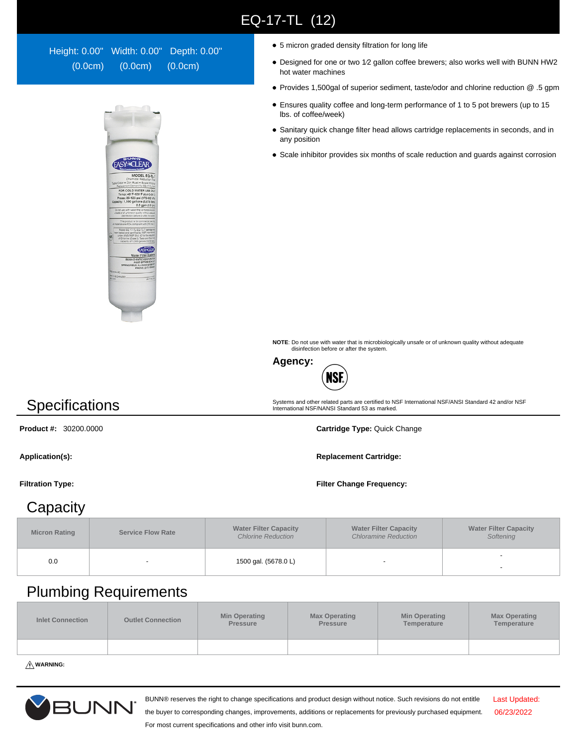## EQ-17-TL (12)

Height: 0.00" Width: 0.00" Depth: 0.00" (0.0cm) (0.0cm) (0.0cm)



- 5 micron graded density filtration for long life
- Designed for one or two 1⁄2 gallon coffee brewers; also works well with BUNN HW2 hot water machines
- Provides 1,500gal of superior sediment, taste/odor and chlorine reduction @ .5 gpm
- Ensures quality coffee and long-term performance of 1 to 5 pot brewers (up to 15 lbs. of coffee/week)
- Sanitary quick change filter head allows cartridge replacements in seconds, and in any position
- Scale inhibitor provides six months of scale reduction and guards against corrosion

**NOTE**: Do not use with water that is microbiologically unsafe or of unknown quality without adequate disinfection before or after the system.

Systems and other related parts are certified to NSF International NSF/ANSI Standard 42 and/or NSF International NSF/NANSI Standard 53 as marked.



**Specifications** 

**Product #:** 30200.0000 **Cartridge Type:** Quick Change

Application(s): **Replacement Cartridge: Replacement Cartridge: Replacement Cartridge:** 

**Filtration Type: Filter Change Frequency:**

## **Capacity**

| <b>Micron Rating</b> | <b>Service Flow Rate</b> | <b>Water Filter Capacity</b><br><b>Chlorine Reduction</b> | <b>Water Filter Capacity</b><br><b>Chloramine Reduction</b> | <b>Water Filter Capacity</b><br>Softening |
|----------------------|--------------------------|-----------------------------------------------------------|-------------------------------------------------------------|-------------------------------------------|
| 0.0                  |                          | 1500 gal. (5678.0 L)                                      |                                                             |                                           |

## Plumbing Requirements

| <b>Inlet Connection</b> | <b>Outlet Connection</b> | <b>Min Operating</b><br>Pressure | <b>Max Operating</b><br>Pressure | <b>Min Operating</b><br>Temperature | <b>Max Operating</b><br>Temperature |
|-------------------------|--------------------------|----------------------------------|----------------------------------|-------------------------------------|-------------------------------------|
|                         |                          |                                  |                                  |                                     |                                     |

**WARNING:**



BUNN® reserves the right to change specifications and product design without notice. Such revisions do not entitle

Last Updated: 06/23/2022

the buyer to corresponding changes, improvements, additions or replacements for previously purchased equipment. For most current specifications and other info visit bunn.com.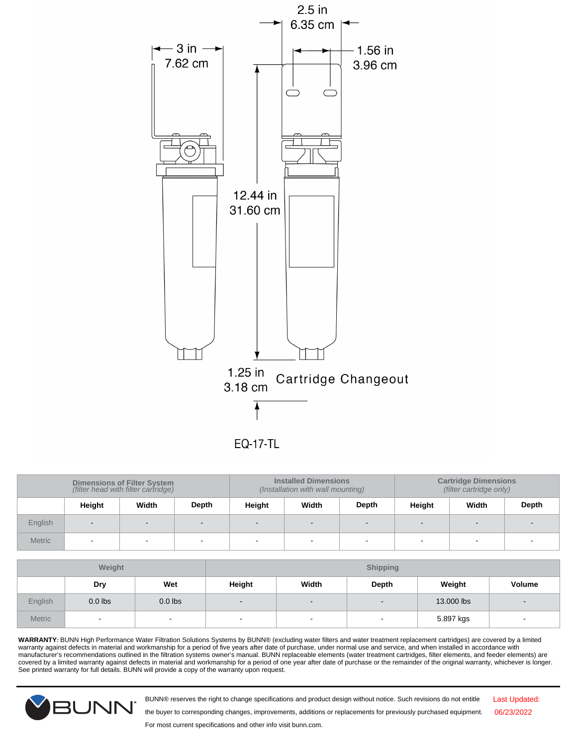

**EQ-17-TL** 

| <b>Dimensions of Filter System</b><br>(filter head with filter cartridge) |        |       |       | <b>Installed Dimensions</b><br>(Installation with wall mounting) |       | <b>Cartridge Dimensions</b><br>(filter cartridge only) |        |        |       |
|---------------------------------------------------------------------------|--------|-------|-------|------------------------------------------------------------------|-------|--------------------------------------------------------|--------|--------|-------|
|                                                                           | Height | Width | Depth | Height                                                           | Width | Depth                                                  | Height | Width  | Depth |
| English                                                                   |        |       |       |                                                                  |       | $\overline{\phantom{a}}$                               |        | -      |       |
| <b>Metric</b>                                                             | . .    |       |       | $\overline{\phantom{0}}$                                         |       | $\overline{\phantom{0}}$                               |        | $\sim$ |       |

| Weight  |           |           |                |        | <b>Shipping</b>          |            |                          |
|---------|-----------|-----------|----------------|--------|--------------------------|------------|--------------------------|
|         | Dry       | Wet       | Height         | Width  | Depth                    | Weight     | Volume                   |
| English | $0.0$ lbs | $0.0$ lbs | $\blacksquare$ | $\sim$ | $\overline{\phantom{a}}$ | 13.000 lbs | $\qquad \qquad$          |
| Metric  | $\sim$    | $\sim$    | $\sim$         | $\sim$ | $\overline{\phantom{a}}$ | 5.897 kgs  | $\overline{\phantom{0}}$ |

WARRANTY: BUNN High Performance Water Filtration Solutions Systems by BUNN® (excluding water filters and water treatment replacement cartridges) are covered by a limited warranty against defects in material and workmanship



BUNN® reserves the right to change specifications and product design without notice. Such revisions do not entitle

Last Updated: 06/23/2022

the buyer to corresponding changes, improvements, additions or replacements for previously purchased equipment.

For most current specifications and other info visit bunn.com.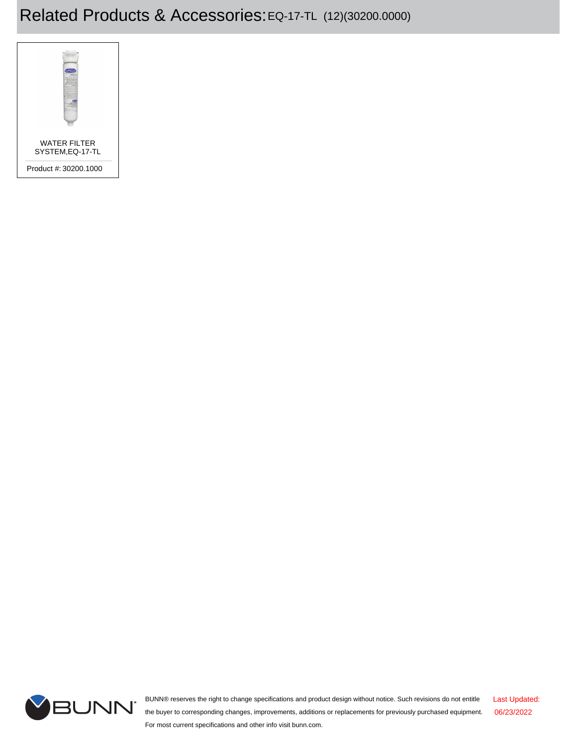## Related Products & Accessories:EQ-17-TL (12)(30200.0000)





BUNN® reserves the right to change specifications and product design without notice. Such revisions do not entitle the buyer to corresponding changes, improvements, additions or replacements for previously purchased equipment. For most current specifications and other info visit bunn.com. Last Updated: 06/23/2022